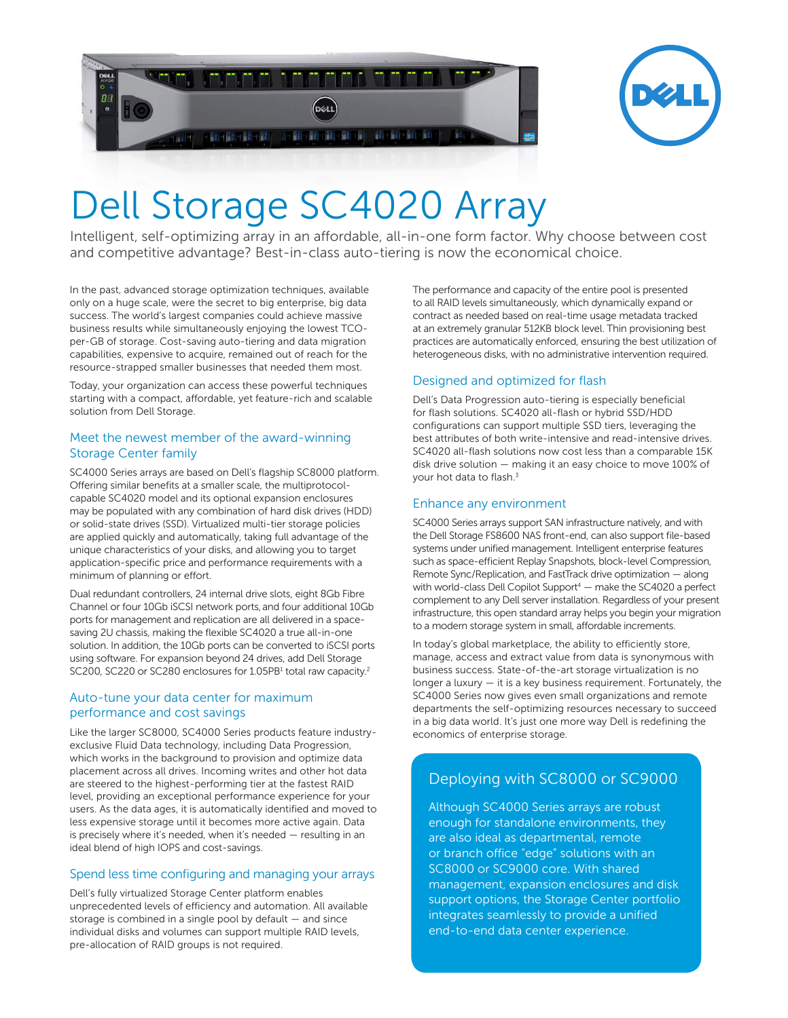



# Dell Storage SC4020 Array

Intelligent, self-optimizing array in an affordable, all-in-one form factor. Why choose between cost and competitive advantage? Best-in-class auto-tiering is now the economical choice.

In the past, advanced storage optimization techniques, available only on a huge scale, were the secret to big enterprise, big data success. The world's largest companies could achieve massive business results while simultaneously enjoying the lowest TCOper-GB of storage. Cost-saving auto-tiering and data migration capabilities, expensive to acquire, remained out of reach for the resource-strapped smaller businesses that needed them most.

Today, your organization can access these powerful techniques starting with a compact, affordable, yet feature-rich and scalable solution from Dell Storage.

#### Meet the newest member of the award-winning Storage Center family

SC4000 Series arrays are based on Dell's flagship SC8000 platform. Offering similar benefits at a smaller scale, the multiprotocolcapable SC4020 model and its optional expansion enclosures may be populated with any combination of hard disk drives (HDD) or solid-state drives (SSD). Virtualized multi-tier storage policies are applied quickly and automatically, taking full advantage of the unique characteristics of your disks, and allowing you to target application-specific price and performance requirements with a minimum of planning or effort.

Dual redundant controllers, 24 internal drive slots, eight 8Gb Fibre Channel or four 10Gb iSCSI network ports,and four additional 10Gb ports for management and replication are all delivered in a spacesaving 2U chassis, making the flexible SC4020 a true all-in-one solution. In addition, the 10Gb ports can be converted to iSCSI ports using software. For expansion beyond 24 drives, add Dell Storage SC200, SC220 or SC280 enclosures for 1.05PB<sup>1</sup> total raw capacity.<sup>2</sup>

#### Auto-tune your data center for maximum performance and cost savings

Like the larger SC8000, SC4000 Series products feature industryexclusive Fluid Data technology, including Data Progression, which works in the background to provision and optimize data placement across all drives. Incoming writes and other hot data are steered to the highest-performing tier at the fastest RAID level, providing an exceptional performance experience for your users. As the data ages, it is automatically identified and moved to less expensive storage until it becomes more active again. Data is precisely where it's needed, when it's needed — resulting in an ideal blend of high IOPS and cost-savings.

#### Spend less time configuring and managing your arrays

Dell's fully virtualized Storage Center platform enables unprecedented levels of efficiency and automation. All available storage is combined in a single pool by default — and since individual disks and volumes can support multiple RAID levels, pre-allocation of RAID groups is not required.

The performance and capacity of the entire pool is presented to all RAID levels simultaneously, which dynamically expand or contract as needed based on real-time usage metadata tracked at an extremely granular 512KB block level. Thin provisioning best practices are automatically enforced, ensuring the best utilization of heterogeneous disks, with no administrative intervention required.

### Designed and optimized for flash

Dell's Data Progression auto-tiering is especially beneficial for flash solutions. SC4020 all-flash or hybrid SSD/HDD configurations can support multiple SSD tiers, leveraging the best attributes of both write-intensive and read-intensive drives. SC4020 all-flash solutions now cost less than a comparable 15K disk drive solution — making it an easy choice to move 100% of your hot data to flash.<sup>3</sup>

#### Enhance any environment

SC4000 Series arrays support SAN infrastructure natively, and with the Dell Storage FS8600 NAS front-end, can also support file-based systems under unified management. Intelligent enterprise features such as space-efficient Replay Snapshots, block-level Compression, Remote Sync/Replication, and FastTrack drive optimization — along with world-class Dell Copilot Support<sup>4</sup> — make the SC4020 a perfect complement to any Dell server installation. Regardless of your present infrastructure, this open standard array helps you begin your migration to a modern storage system in small, affordable increments.

In today's global marketplace, the ability to efficiently store, manage, access and extract value from data is synonymous with business success. State-of-the-art storage virtualization is no longer a luxury — it is a key business requirement. Fortunately, the SC4000 Series now gives even small organizations and remote departments the self-optimizing resources necessary to succeed in a big data world. It's just one more way Dell is redefining the economics of enterprise storage.

## Deploying with SC8000 or SC9000

Although SC4000 Series arrays are robust enough for standalone environments, they are also ideal as departmental, remote or branch office "edge" solutions with an SC8000 or SC9000 core. With shared management, expansion enclosures and disk support options, the Storage Center portfolio integrates seamlessly to provide a unified end-to-end data center experience.